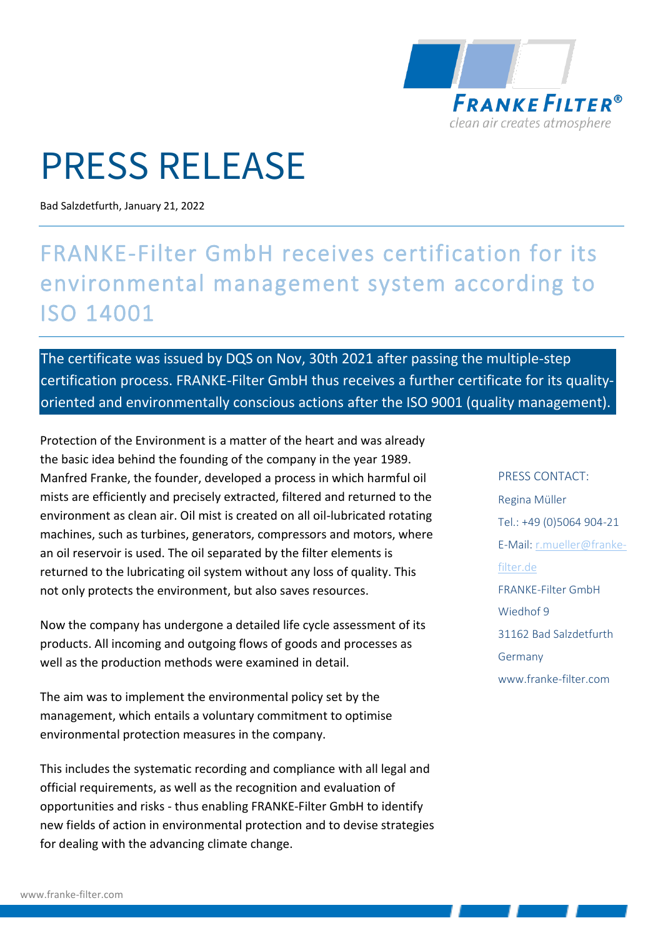

## PRESS RELEASE

Bad Salzdetfurth, January 21, 2022

## FRANKE-Filter GmbH receives certification for its environmental management system according to ISO 14001

The certificate was issued by DQS on Nov, 30th 2021 after passing the multiple-step certification process. FRANKE-Filter GmbH thus receives a further certificate for its qualityoriented and environmentally conscious actions after the ISO 9001 (quality management).

Protection of the Environment is a matter of the heart and was already the basic idea behind the founding of the company in the year 1989. Manfred Franke, the founder, developed a process in which harmful oil mists are efficiently and precisely extracted, filtered and returned to the environment as clean air. Oil mist is created on all oil-lubricated rotating machines, such as turbines, generators, compressors and motors, where an oil reservoir is used. The oil separated by the filter elements is returned to the lubricating oil system without any loss of quality. This not only protects the environment, but also saves resources.

Now the company has undergone a detailed life cycle assessment of its products. All incoming and outgoing flows of goods and processes as well as the production methods were examined in detail.

The aim was to implement the environmental policy set by the management, which entails a voluntary commitment to optimise environmental protection measures in the company.

This includes the systematic recording and compliance with all legal and official requirements, as well as the recognition and evaluation of opportunities and risks - thus enabling FRANKE-Filter GmbH to identify new fields of action in environmental protection and to devise strategies for dealing with the advancing climate change.

PRESS CONTACT: Regina Müller Tel.: +49 (0)5064 904-21 E-Mail: [r.mueller@franke](mailto:r.mueller@franke-filter.de)[filter.de](mailto:r.mueller@franke-filter.de) FRANKE-Filter GmbH Wiedhof 9 31162 Bad Salzdetfurth Germany www.franke-filter.com